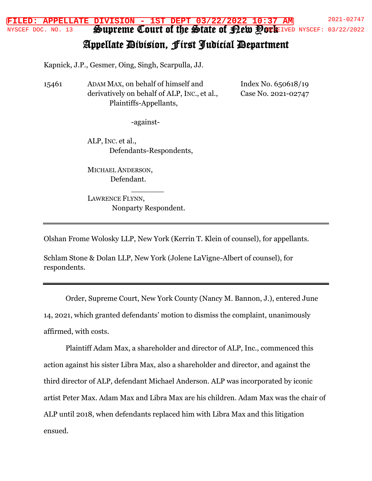Supreme Court of the State of <u>Pew Pork</u> **FILED: APPELLATE DIVISION - 1ST DEPT 03/22/2022 10:37 AM** 2021-02747 NYSCEF DOC. NO. 13 SPUDIEME COUII OI INE STAIE OI FLEW POCEFIVED NYSCEF: 03/22/2022

## Appellate Division, First Judicial Department

Kapnick, J.P., Gesmer, Oing, Singh, Scarpulla, JJ.

15461 ADAM MAX, on behalf of himself and derivatively on behalf of ALP, INC., et al., Plaintiffs-Appellants,

Index No. 650618/19 Case No. 2021-02747

-against-

ALP, INC. et al., Defendants-Respondents,

MICHAEL ANDERSON, Defendant.

LAWRENCE FLYNN, Nonparty Respondent.

\_\_\_\_\_\_\_

Olshan Frome Wolosky LLP, New York (Kerrin T. Klein of counsel), for appellants.

Schlam Stone & Dolan LLP, New York (Jolene LaVigne-Albert of counsel), for respondents.

Order, Supreme Court, New York County (Nancy M. Bannon, J.), entered June 14, 2021, which granted defendants' motion to dismiss the complaint, unanimously affirmed, with costs.

Plaintiff Adam Max, a shareholder and director of ALP, Inc., commenced this action against his sister Libra Max, also a shareholder and director, and against the third director of ALP, defendant Michael Anderson. ALP was incorporated by iconic artist Peter Max. Adam Max and Libra Max are his children. Adam Max was the chair of ALP until 2018, when defendants replaced him with Libra Max and this litigation ensued.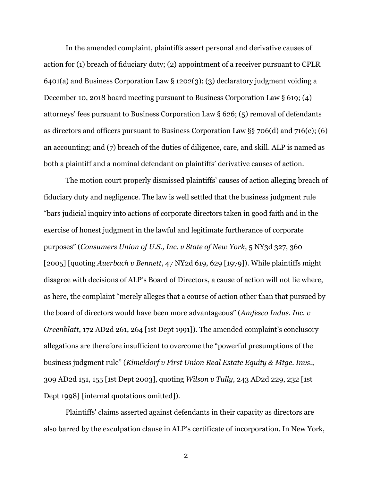In the amended complaint, plaintiffs assert personal and derivative causes of action for (1) breach of fiduciary duty; (2) appointment of a receiver pursuant to CPLR 6401(a) and Business Corporation Law § 1202(3); (3) declaratory judgment voiding a December 10, 2018 board meeting pursuant to Business Corporation Law § 619; (4) attorneys' fees pursuant to Business Corporation Law § 626; (5) removal of defendants as directors and officers pursuant to Business Corporation Law §§ 706(d) and 716(c); (6) an accounting; and (7) breach of the duties of diligence, care, and skill. ALP is named as both a plaintiff and a nominal defendant on plaintiffs' derivative causes of action.

The motion court properly dismissed plaintiffs' causes of action alleging breach of fiduciary duty and negligence. The law is well settled that the business judgment rule "bars judicial inquiry into actions of corporate directors taken in good faith and in the exercise of honest judgment in the lawful and legitimate furtherance of corporate purposes" (*Consumers Union of U.S., Inc. v State of New York*, 5 NY3d 327, 360 [2005] [quoting *Auerbach v Bennett*, 47 NY2d 619, 629 [1979]). While plaintiffs might disagree with decisions of ALP's Board of Directors, a cause of action will not lie where, as here, the complaint "merely alleges that a course of action other than that pursued by the board of directors would have been more advantageous" (*Amfesco Indus. Inc. v Greenblatt*, 172 AD2d 261, 264 [1st Dept 1991]). The amended complaint's conclusory allegations are therefore insufficient to overcome the "powerful presumptions of the business judgment rule" (*Kimeldorf v First Union Real Estate Equity & Mtge. Invs.*, 309 AD2d 151, 155 [1st Dept 2003], quoting *Wilson v Tully*, 243 AD2d 229, 232 [1st Dept 1998] [internal quotations omitted]).

Plaintiffs' claims asserted against defendants in their capacity as directors are also barred by the exculpation clause in ALP's certificate of incorporation. In New York,

2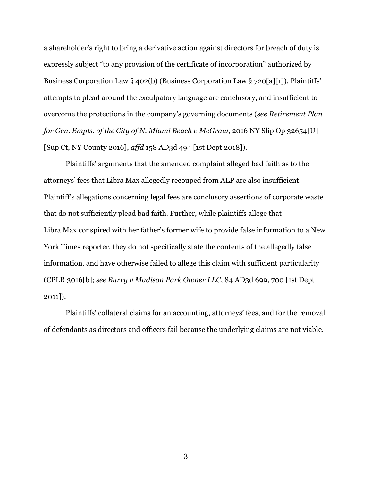a shareholder's right to bring a derivative action against directors for breach of duty is expressly subject "to any provision of the certificate of incorporation" authorized by Business Corporation Law § 402(b) (Business Corporation Law § 720[a][1]). Plaintiffs' attempts to plead around the exculpatory language are conclusory, and insufficient to overcome the protections in the company's governing documents (*see Retirement Plan for Gen. Empls. of the City of N. Miami Beach v McGraw*, 2016 NY Slip Op 32654[U] [Sup Ct, NY County 2016], *affd* 158 AD3d 494 [1st Dept 2018]).

Plaintiffs' arguments that the amended complaint alleged bad faith as to the attorneys' fees that Libra Max allegedly recouped from ALP are also insufficient. Plaintiff's allegations concerning legal fees are conclusory assertions of corporate waste that do not sufficiently plead bad faith. Further, while plaintiffs allege that Libra Max conspired with her father's former wife to provide false information to a New York Times reporter, they do not specifically state the contents of the allegedly false information, and have otherwise failed to allege this claim with sufficient particularity (CPLR 3016[b]; *see Burry v Madison Park Owner LLC*, 84 AD3d 699, 700 [1st Dept 2011]).

Plaintiffs' collateral claims for an accounting, attorneys' fees, and for the removal of defendants as directors and officers fail because the underlying claims are not viable.

3